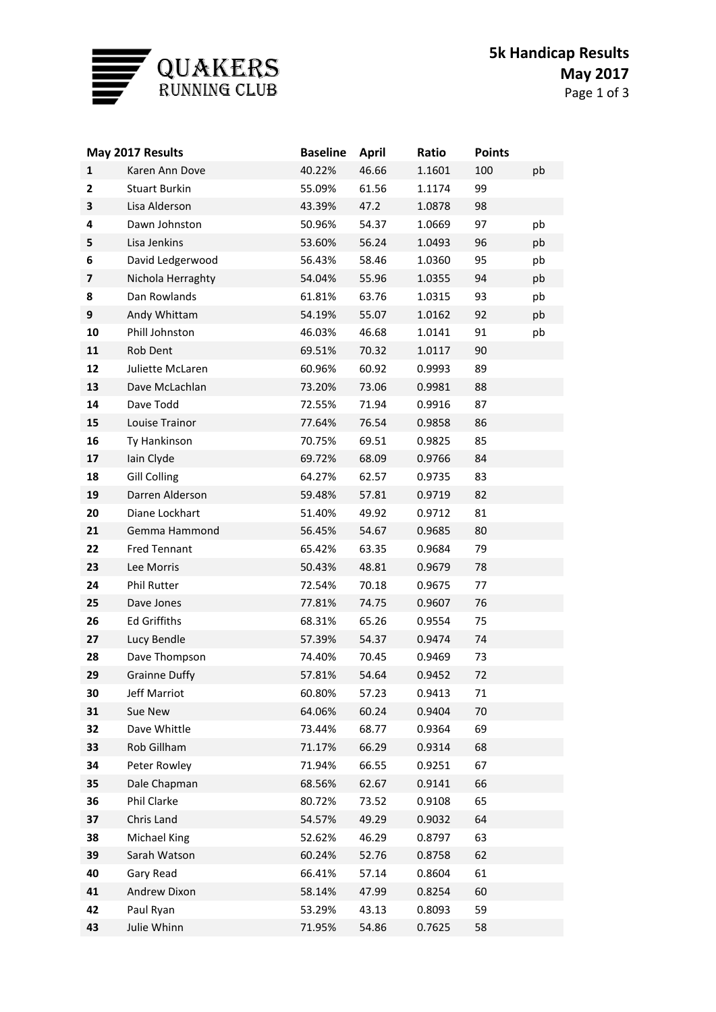

| May 2017 Results |                      | <b>Baseline</b> | <b>April</b> | Ratio  | <b>Points</b> |    |
|------------------|----------------------|-----------------|--------------|--------|---------------|----|
| $\mathbf{1}$     | Karen Ann Dove       | 40.22%          | 46.66        | 1.1601 | 100           | pb |
| $\mathbf{2}$     | <b>Stuart Burkin</b> | 55.09%          | 61.56        | 1.1174 | 99            |    |
| 3                | Lisa Alderson        | 43.39%          | 47.2         | 1.0878 | 98            |    |
| 4                | Dawn Johnston        | 50.96%          | 54.37        | 1.0669 | 97            | pb |
| 5                | Lisa Jenkins         | 53.60%          | 56.24        | 1.0493 | 96            | pb |
| 6                | David Ledgerwood     | 56.43%          | 58.46        | 1.0360 | 95            | pb |
| 7                | Nichola Herraghty    | 54.04%          | 55.96        | 1.0355 | 94            | pb |
| 8                | Dan Rowlands         | 61.81%          | 63.76        | 1.0315 | 93            | pb |
| 9                | Andy Whittam         | 54.19%          | 55.07        | 1.0162 | 92            | pb |
| 10               | Phill Johnston       | 46.03%          | 46.68        | 1.0141 | 91            | pb |
| 11               | Rob Dent             | 69.51%          | 70.32        | 1.0117 | 90            |    |
| 12               | Juliette McLaren     | 60.96%          | 60.92        | 0.9993 | 89            |    |
| 13               | Dave McLachlan       | 73.20%          | 73.06        | 0.9981 | 88            |    |
| 14               | Dave Todd            | 72.55%          | 71.94        | 0.9916 | 87            |    |
| 15               | Louise Trainor       | 77.64%          | 76.54        | 0.9858 | 86            |    |
| 16               | Ty Hankinson         | 70.75%          | 69.51        | 0.9825 | 85            |    |
| 17               | Iain Clyde           | 69.72%          | 68.09        | 0.9766 | 84            |    |
| 18               | <b>Gill Colling</b>  | 64.27%          | 62.57        | 0.9735 | 83            |    |
| 19               | Darren Alderson      | 59.48%          | 57.81        | 0.9719 | 82            |    |
| 20               | Diane Lockhart       | 51.40%          | 49.92        | 0.9712 | 81            |    |
| 21               | Gemma Hammond        | 56.45%          | 54.67        | 0.9685 | 80            |    |
| 22               | <b>Fred Tennant</b>  | 65.42%          | 63.35        | 0.9684 | 79            |    |
| 23               | Lee Morris           | 50.43%          | 48.81        | 0.9679 | 78            |    |
| 24               | Phil Rutter          | 72.54%          | 70.18        | 0.9675 | 77            |    |
| 25               | Dave Jones           | 77.81%          | 74.75        | 0.9607 | 76            |    |
| 26               | <b>Ed Griffiths</b>  | 68.31%          | 65.26        | 0.9554 | 75            |    |
| 27               | Lucy Bendle          | 57.39%          | 54.37        | 0.9474 | 74            |    |
| 28               | Dave Thompson        | 74.40%          | 70.45        | 0.9469 | 73            |    |
| 29               | <b>Grainne Duffy</b> | 57.81%          | 54.64        | 0.9452 | 72            |    |
| 30               | Jeff Marriot         | 60.80%          | 57.23        | 0.9413 | 71            |    |
| 31               | Sue New              | 64.06%          | 60.24        | 0.9404 | 70            |    |
| 32               | Dave Whittle         | 73.44%          | 68.77        | 0.9364 | 69            |    |
| 33               | Rob Gillham          | 71.17%          | 66.29        | 0.9314 | 68            |    |
| 34               | Peter Rowley         | 71.94%          | 66.55        | 0.9251 | 67            |    |
| 35               | Dale Chapman         | 68.56%          | 62.67        | 0.9141 | 66            |    |
| 36               | Phil Clarke          | 80.72%          | 73.52        | 0.9108 | 65            |    |
| 37               | Chris Land           | 54.57%          | 49.29        | 0.9032 | 64            |    |
| 38               | Michael King         | 52.62%          | 46.29        | 0.8797 | 63            |    |
| 39               | Sarah Watson         | 60.24%          | 52.76        | 0.8758 | 62            |    |
| 40               | Gary Read            | 66.41%          | 57.14        | 0.8604 | 61            |    |
| 41               | Andrew Dixon         | 58.14%          | 47.99        | 0.8254 | 60            |    |
| 42               | Paul Ryan            | 53.29%          | 43.13        | 0.8093 | 59            |    |
| 43               | Julie Whinn          | 71.95%          | 54.86        | 0.7625 | 58            |    |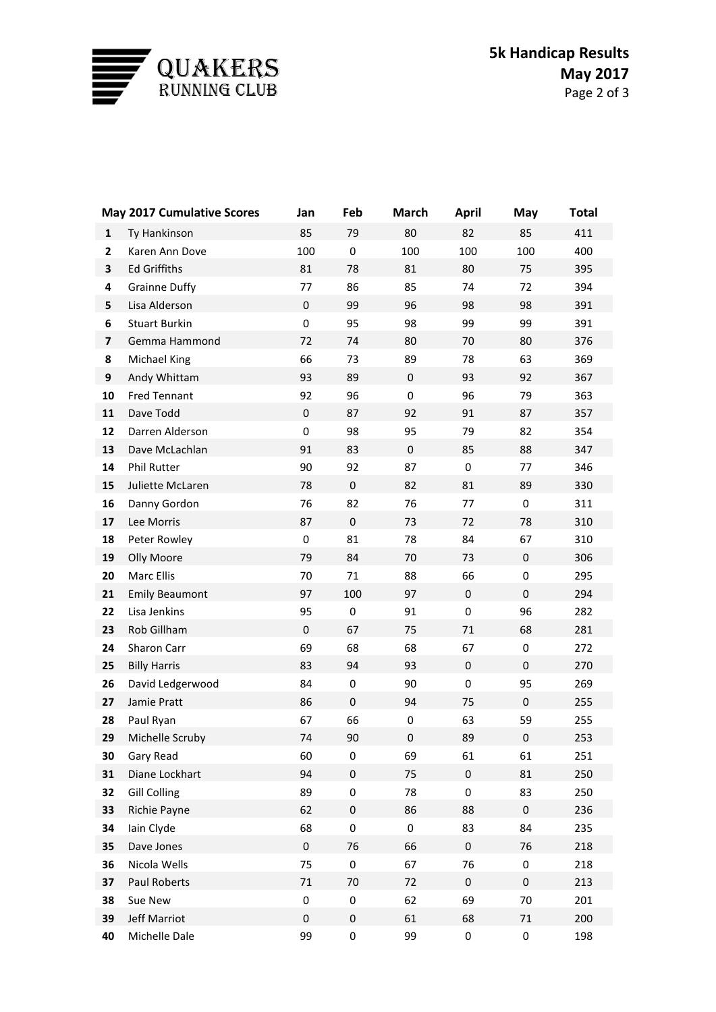

|                         | <b>May 2017 Cumulative Scores</b> | Jan         | Feb         | <b>March</b> | <b>April</b> | May       | <b>Total</b> |
|-------------------------|-----------------------------------|-------------|-------------|--------------|--------------|-----------|--------------|
| 1                       | Ty Hankinson                      | 85          | 79          | 80           | 82           | 85        | 411          |
| $\mathbf{2}$            | Karen Ann Dove                    | 100         | 0           | 100          | 100          | 100       | 400          |
| 3                       | <b>Ed Griffiths</b>               | 81          | 78          | 81           | 80           | 75        | 395          |
| 4                       | <b>Grainne Duffy</b>              | 77          | 86          | 85           | 74           | 72        | 394          |
| 5                       | Lisa Alderson                     | $\pmb{0}$   | 99          | 96           | 98           | 98        | 391          |
| 6                       | <b>Stuart Burkin</b>              | $\mathbf 0$ | 95          | 98           | 99           | 99        | 391          |
| $\overline{\mathbf{z}}$ | Gemma Hammond                     | 72          | 74          | 80           | 70           | 80        | 376          |
| 8                       | Michael King                      | 66          | 73          | 89           | 78           | 63        | 369          |
| 9                       | Andy Whittam                      | 93          | 89          | $\mathbf 0$  | 93           | 92        | 367          |
| 10                      | <b>Fred Tennant</b>               | 92          | 96          | $\pmb{0}$    | 96           | 79        | 363          |
| 11                      | Dave Todd                         | $\pmb{0}$   | 87          | 92           | 91           | 87        | 357          |
| 12                      | Darren Alderson                   | $\mathbf 0$ | 98          | 95           | 79           | 82        | 354          |
| 13                      | Dave McLachlan                    | 91          | 83          | $\mathbf 0$  | 85           | 88        | 347          |
| 14                      | Phil Rutter                       | 90          | 92          | 87           | 0            | 77        | 346          |
| 15                      | Juliette McLaren                  | 78          | $\pmb{0}$   | 82           | 81           | 89        | 330          |
| 16                      | Danny Gordon                      | 76          | 82          | 76           | 77           | 0         | 311          |
| 17                      | Lee Morris                        | 87          | $\mathbf 0$ | 73           | 72           | 78        | 310          |
| 18                      | Peter Rowley                      | 0           | 81          | 78           | 84           | 67        | 310          |
| 19                      | Olly Moore                        | 79          | 84          | 70           | 73           | 0         | 306          |
| 20                      | Marc Ellis                        | 70          | 71          | 88           | 66           | 0         | 295          |
| 21                      | <b>Emily Beaumont</b>             | 97          | 100         | 97           | $\pmb{0}$    | 0         | 294          |
| 22                      | Lisa Jenkins                      | 95          | 0           | 91           | 0            | 96        | 282          |
| 23                      | Rob Gillham                       | $\mathbf 0$ | 67          | 75           | 71           | 68        | 281          |
| 24                      | Sharon Carr                       | 69          | 68          | 68           | 67           | 0         | 272          |
| 25                      | <b>Billy Harris</b>               | 83          | 94          | 93           | $\pmb{0}$    | $\pmb{0}$ | 270          |
| 26                      | David Ledgerwood                  | 84          | 0           | 90           | 0            | 95        | 269          |
| 27                      | Jamie Pratt                       | 86          | $\pmb{0}$   | 94           | 75           | $\pmb{0}$ | 255          |
| 28                      | Paul Ryan                         | 67          | 66          | 0            | 63           | 59        | 255          |
| 29                      | Michelle Scruby                   | 74          | 90          | $\mathsf 0$  | 89           | 0         | 253          |
| 30                      | Gary Read                         | 60          | 0           | 69           | 61           | 61        | 251          |
| 31                      | Diane Lockhart                    | 94          | 0           | 75           | $\pmb{0}$    | 81        | 250          |
| 32                      | <b>Gill Colling</b>               | 89          | 0           | 78           | 0            | 83        | 250          |
| 33                      | Richie Payne                      | 62          | $\pmb{0}$   | 86           | 88           | $\pmb{0}$ | 236          |
| 34                      | Iain Clyde                        | 68          | 0           | 0            | 83           | 84        | 235          |
| 35                      | Dave Jones                        | $\pmb{0}$   | 76          | 66           | $\pmb{0}$    | 76        | 218          |
| 36                      | Nicola Wells                      | 75          | 0           | 67           | 76           | 0         | 218          |
| 37                      | Paul Roberts                      | $71\,$      | 70          | 72           | $\pmb{0}$    | 0         | 213          |
| 38                      | Sue New                           | 0           | 0           | 62           | 69           | 70        | 201          |
| 39                      | Jeff Marriot                      | $\pmb{0}$   | $\pmb{0}$   | 61           | 68           | $71\,$    | 200          |
| 40                      | Michelle Dale                     | 99          | 0           | 99           | 0            | 0         | 198          |